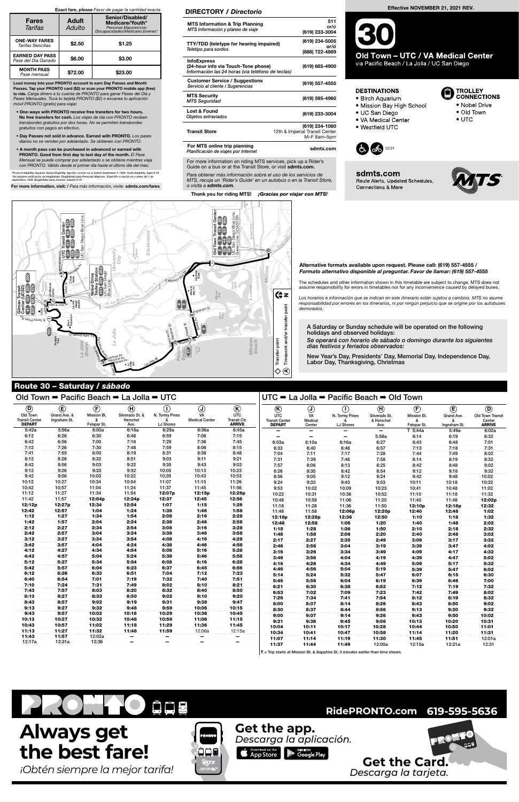## Old Town ➡ Pacific Beach ➡ La Jolla ➡ UTC

La Jole Rewy

Fashio Valley

L nda V signal

Green Line

Friars Rd

Turquo si e St Sapphire St Loring<sub>51</sub>

La Jolla Bl

LO PSOM 6/05 BY

Morena Bl

Moraga Av

Garnet Av Fe sl par St Grand Av <sup>E</sup> <sup>M</sup>issio<sup>n</sup> <sup>B</sup>a<sup>y</sup> <sup>D</sup><sup>r</sup> Morena Bl

 $\frac{8}{36}$ <br> $\frac{8}{4}$ 

Sunset Bl San Diego Ave

Pearl St r P so pect State

5 Route Alerts, Updated Schedules, Connections & More



TROLLEY<br>CONNECTIONS

· Old Town

 $\bullet$  UTC

• Nobel Drive

# Route 30 – Saturday / sábado UCSD Scripps Pier

Crystal Pier Mission Bay

> Crown Point

Birch

O serong allo

Aquarium Costa Verde La Jolla Village Square

Westfield UTC

VA Medical Center Thornton Hospital

Gi med Dr

10<br>101<br>101

 $\frac{1}{2}$ ala  $\mathcal{C}$ 

202

Clairemont Square

Clairem<sub>ont</sub> Mess

Mission Bay HS De Anza Cove

E Mission 8<sup>84</sup>

Loothill B

Pacific **Beach** 

La Jolla HS

Nautilus of

Ivanhoe Av<br>Herschel Av<br>Herscirard Av

SeaWorld

 $\frac{M_{\text{B}}}{M_{\text{B}}}\left(\frac{M_{\text{B}}}{M_{\text{B}}}\right)$  **Sea World** Dr Sea World Dr

Fiesta Island

Miramar Rd

The schedules and other information shown in this timetable are subject to change. MTS does not assume responsibility for errors in timetables nor for any inconvenience caused by delayed buses. assume responsibility for errors in timetables nor for any inconvenience caused by delayed buses.

responsabilidad por errores en los itinerarios, ni por ningún perjuicio que se origine por los autobuses<br>demorados. assume responsibility for errors in timetables nor for any inconvenience caused by delayed buses.<br>Los horarios e información que se indican en este itinerario están sujetos a cambios. MTS no asume<br>responsabilidad por error  $\overline{a}$ demorados.

Barnett Av

Change

norados.<br>
A Saturday or Sunday schedule will be operated on the following<br>
holidays and observed holidays: holidays and observed holidays:

For more information on hairly into corricos; plot up a rite<br>Guide on a bus or at the Transit Store, or visit **sdmts.com.** For more information on riding MTS services, pick up a Rider's

<sup>M</sup>issio<sup>n</sup> <sup>B</sup><sup>l</sup>

Ingr<sup>a</sup>ha<sup>m</sup> <sup>S</sup><sup>t</sup> Lamon<sup>t</sup> <sup>S</sup><sup>t</sup>

**C** No Claim

s<br>سُ ر<br>7 Para obtener más información sobre el uso de los servicios de<br>MTS, recoja un 'Rider's Guide' en un autobús o en la Transit S<br>o visita a **sdmts.com.** MTS, recoja un 'Rider's Guide' en un autobús o en la Transit Store, o visita a sdmts.com.

visita a <mark>sdmts.com.</mark><br>Thank you for riding MTS! *¡Gracias por viajar con MTS!* 

to 10

jeda<br>S

W Po ni t Loma Bl

Midway Driver

<sup>o</sup><sup>S</sup> <sup>e</sup><sup>l</sup> <sup>d</sup>

Soled a<sup>b Mosc</sup>ain Rd

Clairemont Mesa Bl

<sup>V</sup> judwell

To Due Rin

Genesee Ave

W

Nobel Dr

Genese<sup>e Av</sup>

Voigt Dr

Green Line

Harbor Island Dr Alternative formats available upon request. Please call: (619) 557-4555 / Formato alternativo disponible al preguntar. Favor de llamar: (619) 557-4555

Clairemont

z)<br>Balgo

University City

UC San Diego Blue Line

La Jolla

La Jolla Shores Mission Beach

Timepoint and/or transfer

Midway

27

Villa La Jolla Dr

ר<br>∫ar

La Jolla Village Dr

105 41

 $\overline{5}$ 

921

Gilman Transit Center (UCSD)

Sulfame Party<br>Senies Avenue Avenue Avenue Avenue<br>Avenue Avenue Avenue Avenue<br>Avenue Avenue Avenue Avenue

Eastgate Mall

Old Town Transit Center

 $\infty$ ႜႜႜႜၛႜႜ

UC San Diego Blue Line, Green Line, COASTER

ago Blue Line<br>COASTER

9 I 10 I 28

**Fransit Cen<br>10 28**<br>83 84x

UC San Diego Blue Line

Diego Blue Line

**PN** 

Regent<sub>s Ro</sub>d<br>Regents

Governor D<sub>r</sub>

101 201 202 Nobel Drive Trolley Station UC San Diego Blue Line

 $\boxed{20}$ 

r ez

Tor es Rd Si verado St.

D

E

Mission<sub>/Bl</sub>

F

G

Clairemont Dr

**M ACAGINA** 

H

K

Transfer point

Transfer point

 $\diamond$ 

To<br>Stri

z

Timepoint and/or transfer point

| $^{\circ}$                                         | $^{\circledR}$               | $\left(\widehat{F}\right)$ | $\textcircled{\textsf{H}}$          | $\left( \mathsf{T}\right)$   | $\bigcirc$                  | $\circledR$                                 | $\circledR$                                          | $\odot$                 | $\left( 0\right)$            | $\textcircled{\textbf{H}}$          | $\left(\mathbf{F}\right)$  | $\bigcirc$                 | $\circledcirc$                              |
|----------------------------------------------------|------------------------------|----------------------------|-------------------------------------|------------------------------|-----------------------------|---------------------------------------------|------------------------------------------------------|-------------------------|------------------------------|-------------------------------------|----------------------------|----------------------------|---------------------------------------------|
| Old Town<br><b>Transit Center</b><br><b>DEPART</b> | Grand Ave. &<br>Ingraham St. | Mission Bl.<br>Felspar St. | Silverado St. &<br>Herschel<br>Ave. | N. Torrey Pines<br>LJ Shores | VA<br><b>Medical Center</b> | <b>UTC</b><br>Transit Ctr.<br><b>ARRIVE</b> | <b>UTC</b><br><b>Transit Center</b><br><b>DEPART</b> | VA<br>Medical<br>Center | N. Torrey Pines<br>LJ Shores | Silverado St.<br>& Herschel<br>Ave. | Mission Bl.<br>Felspar St. | Grand Ave.<br>Ingraham St. | Old Town Transit<br>Center<br><b>ARRIVE</b> |
| 5:42a                                              | 5:56a                        | 6:00a                      | 6:18a                               | 6:29a                        | 6:36a                       | 6:45a                                       |                                                      |                         |                              |                                     | T 5:44a                    | 5:49a                      | 6:02a                                       |
| 6:12                                               | 6:26                         | 6:30                       | 6:48                                | 6:59                         | 7:06                        | 7:15                                        |                                                      |                         |                              | 5:58a                               | 6:14                       | 6:19                       | 6:32                                        |
| 6:42                                               | 6:56                         | 7:00                       | 7:18                                | 7:29                         | 7:36                        | 7:45                                        | 6:03a                                                | 6:10a                   | 6:16a                        | 6:27                                | 6:43                       | 6:48                       | 7:01                                        |
| 7:12                                               | 7:26                         | 7:30                       | 7:48                                | 7:59                         | 8:06                        | 8:15                                        | 6:33                                                 | 6:40                    | 6:46                         | 6:57                                | 7:13                       | 7:18                       | 7:31                                        |
| 7:41                                               | 7:55                         | 8:00                       | 8:19                                | 8:31                         | 8:38                        | 8:48                                        | 7:04                                                 | 7:11                    | 7:17                         | 7:28                                | 7:44                       | 7:49                       | 8:02                                        |
| 8:12                                               | 8:26                         | 8:32                       | 8:51                                | 9:03                         | 9:11                        | 9:21                                        | 7:31                                                 | 7:39                    | 7:46                         | 7:58                                | 8:14                       | 8:19                       | 8:32                                        |
| 8:42                                               | 8:56                         | 9:03                       | 9:22                                | 9:35                         | 9:43                        | 9:53                                        | 7:57                                                 | 8:06                    | 8:13                         | 8:25                                | 8:42                       | 8:48                       | 9:02                                        |
| 9:12                                               | 9:26                         | 9:33                       | 9:52                                | 10:05                        | 10:13                       | 10:23                                       | 8:26                                                 | 8:35                    | 8:42                         | 8:54                                | 9:12                       | 9:18                       | 9:32                                        |
| 9:42                                               | 9:56                         | 10:03                      | 10:22                               | 10:35                        | 10:43                       | 10:53                                       | 8:56                                                 | 9:05                    | 9:12                         | 9:24                                | 9:42                       | 9:48                       | 10:02                                       |
| 10:12                                              | 10:27                        | 10:34                      | 10:54                               | 11:07                        | 11:15                       | 11:26                                       | 9:24                                                 | 9:33                    | 9:40                         | 9:53                                | 10:11                      | 10:18                      | 10:32                                       |
| 10:42                                              | 10:57                        | 11:04                      | 11:24                               | 11:37                        | 11:45                       | 11:56                                       | 9:53                                                 | 10:02                   | 10:09                        | 10:23                               | 10:41                      | 10:48                      | 11:02                                       |
| 11:12                                              | 11:27                        | 11:34                      | 11:54                               | 12:07p                       | 12:15p                      | 12:26p                                      | 10:22                                                | 10:31                   | 10:38                        | 10:52                               | 11:10                      | 11:18                      | 11:32                                       |
| 11:42                                              | 11:57                        | 12:04p                     | 12:24p                              | 12:37                        | 12:45                       | 12:56                                       | 10:48                                                | 10:58                   | 11:06                        | 11:20                               | 11:40                      | 11:48                      | 12:02p                                      |
| 12:12p                                             | 12:27p                       | 12:34                      | 12:54                               | 1:07                         | 1:15                        | 1:26                                        | 11:18                                                | 11:28                   | 11:36                        | 11:50                               | 12:10p                     | 12:18p                     | 12:32                                       |
| 12:42                                              | 12:57                        | 1:04                       | 1:24                                | 1:38                         | 1:46                        | 1:58                                        | 11:48                                                | 11:58                   | 12:06p                       | 12:20p                              | 12:40                      | 12:48                      | 1:02                                        |
| 1:12                                               | 1:27                         | 1:34                       | 1:54                                | 2:08                         | 2:16                        | 2:28                                        | 12:18 <sub>p</sub>                                   | 12:28p                  | 12:36                        | 12:50                               | 1:10                       | 1:18                       | 1:32                                        |
| 1:42                                               | 1:57                         | 2:04                       | 2:24                                | 2:38                         | 2:46                        | 2:58                                        | 12:48                                                | 12:58                   | 1:06                         | 1:20                                | 1:40                       | 1:48                       | 2:02                                        |
| 2:12                                               | 2:27                         | 2:34                       | 2:54                                | 3:08                         | 3:16                        | 3:28                                        | 1:18                                                 | 1:28                    | 1:36                         | 1:50                                | 2:10                       | 2:18                       | 2:32                                        |
| 2:42                                               | 2:57                         | 3:04                       | 3:24                                | 3:38                         | 3:46                        | 3:58                                        | 1:48                                                 | 1:58                    | 2:06                         | 2:20                                | 2:40                       | 2:48                       | 3:02                                        |
| 3:12                                               | 3:27                         | 3:34                       | 3:54                                | 4:08                         | 4:16                        | 4:28                                        | 2:17                                                 | 2:27                    | 2:35                         | 2:49                                | 3:09                       | 3:17                       | 3:32                                        |
| 3:42                                               | 3:57                         | 4:04                       | 4:24                                | 4:38                         | 4:46                        | 4:58                                        | 2:46                                                 | 2:56                    | 3:04                         | 3:19                                | 3:39                       | 3:47                       | 4:02                                        |
| 4:12                                               | 4:27                         | 4:34                       | 4:54                                | 5:08                         | 5:16                        | 5:28                                        | 3:16                                                 | 3:26                    | 3:34                         | 3:49                                | 4:09                       | 4:17                       | 4:32                                        |
| 4:42                                               | 4:57                         | 5:04                       | 5:24                                | 5:38                         | 5:46                        | 5:58                                        | 3:46                                                 | 3:56                    | 4:04                         | 4:19                                | 4:39                       | 4:47                       | 5:02                                        |
| 5:12                                               | 5:27                         | 5:34                       | 5:54                                | 6:08                         | 6:16                        | 6:28                                        | 4:16                                                 | 4:26                    | 4:34                         | 4:49                                | 5:09                       | 5:17                       | 5:32                                        |
| 5:42                                               | 5:57                         | 6:04                       | 6:23                                | 6:37                         | 6:45                        | 6:56                                        | 4:46                                                 | 4:56                    | 5:04                         | 5:19                                | 5:39                       | 5:47                       | 6:02                                        |
| 6:12                                               | 6:26                         | 6:33                       | 6:51                                | 7:04                         | 7:12                        | 7:23                                        | 5:14                                                 | 5:24                    | 5:32                         | 5:47                                | 6:07                       | 6:15                       | 6:30                                        |
| 6:40                                               | 6:54                         | 7:01                       | 7:19                                | 7:32                         | 7:40                        | 7:51                                        | 5:46                                                 | 5:56                    | 6:04                         | 6:19                                | 6:39                       | 6:46                       | 7:00                                        |
| 7:10                                               | 7:24                         | 7:31                       | 7:49                                | 8:02                         | 8:10                        | 8:21                                        | 6:21                                                 | 6:30                    | 6:38                         | 6:52                                | 7:12                       | 7:19                       | 7:32                                        |
|                                                    |                              |                            |                                     |                              |                             |                                             |                                                      |                         |                              |                                     |                            |                            |                                             |

Se operará con horario de sábado o domingo durante los siguientes días festivos y feriados observados:

New Year's Day, Presidents' Day, Memorial Day, Independence Day, Labor Day, Thanksgiving, Christmas

## DIRECTORY / Directorio

| 7:43   | 7:57   | 8:03   | 8:20                     | 8:32                     | 8:40                     | 8:50   | 6:53  | 7:02  | 7:09  | 7:23   | 7:42   | 7:49   | 8:02   |
|--------|--------|--------|--------------------------|--------------------------|--------------------------|--------|-------|-------|-------|--------|--------|--------|--------|
| 8:13   | 8:27   | 8:33   | 8:50                     | 9:02                     | 9:10                     | 9:20   | 7:26  | 7:34  | 7:41  | 7:54   | 8:12   | 8:19   | 8:32   |
| 8:43   | 8:57   | 9:02   | 9:19                     | 9:31                     | 9:38                     | 9:47   | 8:00  | 8:07  | 8:14  | 8:26   | 8:43   | 8:50   | 9:02   |
| 9:13   | 9:27   | 9:32   | 9:48                     | 9:59                     | 10:06                    | 10:15  | 8:30  | 8:37  | 8:44  | 8:56   | 9:13   | 9:20   | 9:32   |
| 9:43   | 9:57   | 10:02  | 10:18                    | 10:29                    | 10:36                    | 10:45  | 9:00  | 9:07  | 9:14  | 9:26   | 9:43   | 9:50   | 10:02  |
| 10:13  | 10:27  | 10:32  | 10:48                    | 10:59                    | 11:06                    | 11:15  | 9:31  | 9:38  | 9:45  | 9:56   | 10:13  | 10:20  | 10:31  |
| 10:43  | 10:57  | 11:02  | 11:18                    | 11:29                    | 11:36                    | 11:45  | 10:04 | 10:11 | 10:17 | 10:28  | 10:44  | 10:50  | 11:01  |
| 11:13  | 11:27  | 11:32  | 11:48                    | 11:59                    | 12:06a                   | 12:15a | 10:34 | 10:41 | 10:47 | 10:58  | 11:14  | 11:20  | 11:31  |
| 11:43  | 11:57  | 12:02a | -                        | _                        |                          |        | 11:07 | 11:14 | 11:19 | 11:30  | 11:45  | 11:51  | 12:01a |
| 12:17a | 12:31a | 12:36  | $\overline{\phantom{0}}$ | $\overline{\phantom{0}}$ | $\overline{\phantom{0}}$ |        | 11:37 | 11:44 | 11:49 | 12:00a | 12:15a | 12:21a | 12:31  |

 $T =$  Trip starts at Mission Bl. & Sapphire St. 3 minutes earlier than time shown.

| <b>MTS Information &amp; Trip Planning</b><br>MTS Información y planeo de viaje                                | 511<br>or/ó<br>(619) 233-3004                                   |
|----------------------------------------------------------------------------------------------------------------|-----------------------------------------------------------------|
| TTY/TDD (teletype for hearing impaired)<br>Teletipo para sordos                                                | (619) 234-5005<br>or/ó<br>(888) 722-4889                        |
| <b>InfoExpress</b><br>(24-hour info via Touch-Tone phone)<br>Información las 24 horas (via teléfono de teclas) | (619) 685-4900                                                  |
| <b>Customer Service / Suggestions</b><br>Servicio al cliente / Sugerencias                                     | (619) 557-4555                                                  |
| <b>MTS Security</b><br><b>MTS Seguridad</b>                                                                    | (619) 595-4960                                                  |
| Lost & Found<br>Objetos extraviados                                                                            | (619) 233-3004                                                  |
| <b>Transit Store</b>                                                                                           | (619) 234-1060<br>12th & Imperial Transit Center<br>M-F 8am-5pm |
| Fau MTC ambus tubu mlangdu                                                                                     |                                                                 |

For MTS online trip planning<br>Planificación de viajes por Internet states som salmts.com

Load money into your PRONTO account to earn Day Passes and Month Passes. Tap your PRONTO card (\$2) or scan your PRONTO mobile app (free) to ride. Carga dinero a tu cuenta de PRONTO para ganar Pases del Día y Pases Mensuales. Toca tu tarjeta PRONTO (\$2) o escanea tu aplicación móvil PRONTO (gratis) para viajar.

- One-ways with PRONTO receive free transfers for two hours. No free transfers for cash. Los viajes de ida con PRONTO reciben transbordes gratuitos por dos horas. No se permiten transbordes gratuitos con pagos en efectivo.
- Day Passes not sold in advance. Earned with PRONTO. Los pases diarios no se venden por adelantado. Se obtienen con PRONTO.
- A month pass can be purchased in advanced or earned with PRONTO. Good from first day to last day of the month. El Pase Mensual se puede comprar por adelantado o se obtiene mientras viaja con PRONTO. Válido desde el primer día hasta el último día del mes.

\*Proof of eligibility required. Senior Eligibility: Age 65+ or born on or before September 1, 1959. Youth Eligibility: Ages 6-18<br>\*Se requiere verificación de elegibilidad. Elegibilidad para Personas Mayores: Edad 65+ o nac

For more information, visit: / Para más información, visite: sdmts.com/fares

## Exact fare, please Favor de pagar la cantidad exacta

| <b>Fares</b><br>Tarifas                       | <b>Adult</b><br>Adulto | Senior/Disabled/<br>Medicare/Youth*<br>Personas Mayores/con<br>*Discapacidades/Medicare/Jóvenes |
|-----------------------------------------------|------------------------|-------------------------------------------------------------------------------------------------|
| <b>ONE-WAY FARES</b><br>Tarifas Sencillas     | \$2.50                 | \$1.25                                                                                          |
| <b>EARNED DAY PASS</b><br>Pase del Día Ganado | \$6.00                 | \$3.00                                                                                          |
| <b>MONTH PASS</b><br>Pase mensual             | \$72.00                | \$23.00                                                                                         |

| $UTC \rightarrow La$ Jolla $\rightarrow$ Pacific Beach $\rightarrow$ Old Town |  |  |
|-------------------------------------------------------------------------------|--|--|
|                                                                               |  |  |

### Effective NOVEMBER 21, 2021 REV.

Old Town - UTC / VA Medical Center

via Pacific Beach / La Jolla / UC San Diego

## **DESTINATIONS**

- · Birch Aquarium
- · Mission Bay High School
- UC San Diego
- · VA Medical Center
- Westfield UTC



 $\mathsf{I}_{\mathsf{S}}$